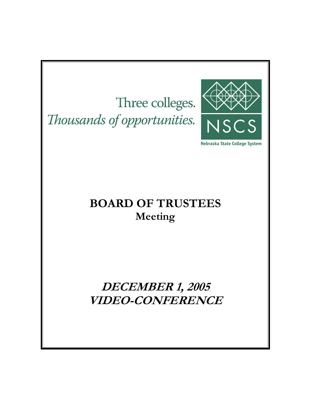Three colleges. Thousands of opportunities.



Nebraska State College System

# **BOARD OF TRUSTEES Meeting**

**DECEMBER 1, 2005 VIDEO-CONFERENCE**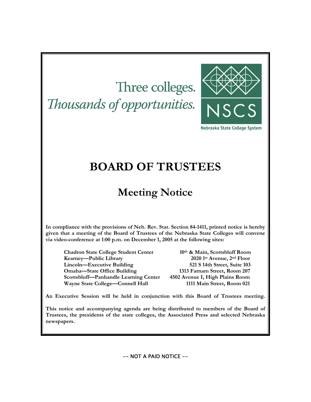# Three colleges. Thousands of opportunities.



Nebraska State College System

# **BOARD OF TRUSTEES**

# **Meeting Notice**

**In compliance with the provisions of Neb. Rev. Stat. Section 84-1411, printed notice is hereby given that a meeting of the Board of Trustees of the Nebraska State Colleges will convene via video-conference at 1:00 p.m. on December 1, 2005 at the following sites:** 

**Chadron State College Student Center 10th & Main, Scottsbluff Room Kearney—Public Library 2020 1st Avenue, 2nd Floor Lincoln—Executive Building 521 S 14th Street, Suite 103 Omaha—State Office Building 1313 Farnam Street, Room 207 Scottsbluff—Panhandle Learning Center 4502 Avenue I, High Plains Room Wayne State College—Connell Hall 1111 Main Street, Room 021** 

**An Executive Session will be held in conjunction with this Board of Trustees meeting.** 

**This notice and accompanying agenda are being distributed to members of the Board of Trustees, the presidents of the state colleges, the Associated Press and selected Nebraska newspapers.** 

-- NOT A PAID NOTICE --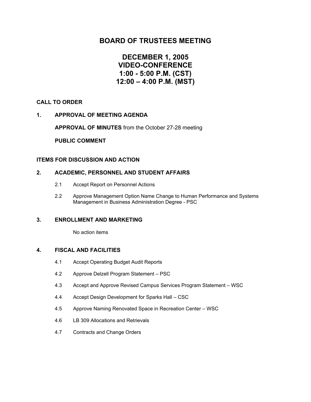# **BOARD OF TRUSTEES MEETING**

# **DECEMBER 1, 2005 VIDEO-CONFERENCE 1:00 - 5:00 P.M. (CST) 12:00 – 4:00 P.M. (MST)**

# **CALL TO ORDER**

# **1. APPROVAL OF MEETING AGENDA**

 **APPROVAL OF MINUTES** from the October 27-28 meeting

 **PUBLIC COMMENT** 

# **ITEMS FOR DISCUSSION AND ACTION**

# **2. ACADEMIC, PERSONNEL AND STUDENT AFFAIRS**

- 2.1 Accept Report on Personnel Actions
- 2.2 Approve Management Option Name Change to Human Performance and Systems Management in Business Administration Degree - PSC

### **3. ENROLLMENT AND MARKETING**

No action items

# **4. FISCAL AND FACILITIES**

- 4.1 Accept Operating Budget Audit Reports
- 4.2 Approve Delzell Program Statement PSC
- 4.3 Accept and Approve Revised Campus Services Program Statement WSC
- 4.4 Accept Design Development for Sparks Hall CSC
- 4.5 Approve Naming Renovated Space in Recreation Center WSC
- 4.6 LB 309 Allocations and Retrievals
- 4.7 Contracts and Change Orders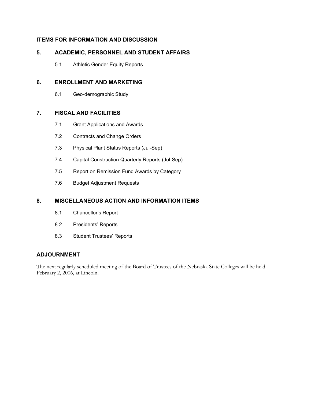# **ITEMS FOR INFORMATION AND DISCUSSION**

# **5. ACADEMIC, PERSONNEL AND STUDENT AFFAIRS**

5.1 Athletic Gender Equity Reports

# **6. ENROLLMENT AND MARKETING**

6.1 Geo-demographic Study

# **7. FISCAL AND FACILITIES**

- 7.1 Grant Applications and Awards
- 7.2 Contracts and Change Orders
- 7.3 Physical Plant Status Reports (Jul-Sep)
- 7.4 Capital Construction Quarterly Reports (Jul-Sep)
- 7.5 Report on Remission Fund Awards by Category
- 7.6 Budget Adjustment Requests

# **8. MISCELLANEOUS ACTION AND INFORMATION ITEMS**

- 8.1 Chancellor's Report
- 8.2 Presidents' Reports
- 8.3 Student Trustees' Reports

# **ADJOURNMENT**

The next regularly scheduled meeting of the Board of Trustees of the Nebraska State Colleges will be held February 2, 2006, at Lincoln.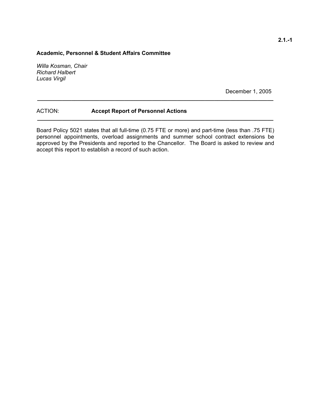# **Academic, Personnel & Student Affairs Committee**

*Willa Kosman, Chair Richard Halbert Lucas Virgil* 

December 1, 2005

# ACTION: **Accept Report of Personnel Actions**

Board Policy 5021 states that all full-time (0.75 FTE or more) and part-time (less than .75 FTE) personnel appointments, overload assignments and summer school contract extensions be approved by the Presidents and reported to the Chancellor. The Board is asked to review and accept this report to establish a record of such action.

**\_\_\_\_\_\_\_\_\_\_\_\_\_\_\_\_\_\_\_\_\_\_\_\_\_\_\_\_\_\_\_\_\_\_\_\_\_\_\_\_\_\_\_\_\_\_\_\_\_\_\_\_\_\_\_\_\_\_\_\_\_\_\_\_\_\_\_\_\_\_\_\_\_\_\_\_** 

**\_\_\_\_\_\_\_\_\_\_\_\_\_\_\_\_\_\_\_\_\_\_\_\_\_\_\_\_\_\_\_\_\_\_\_\_\_\_\_\_\_\_\_\_\_\_\_\_\_\_\_\_\_\_\_\_\_\_\_\_\_\_\_\_\_\_\_\_\_\_\_\_\_\_\_\_**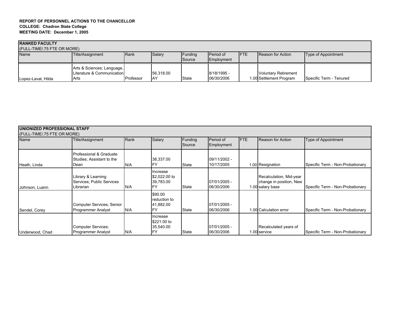| <b>RANKED FACULTY</b>       |                                                                  |           |                         |                   |                                |             |                                                        |                         |  |
|-----------------------------|------------------------------------------------------------------|-----------|-------------------------|-------------------|--------------------------------|-------------|--------------------------------------------------------|-------------------------|--|
| (FULL-TIME/.75 FTE OR MORE) |                                                                  |           |                         |                   |                                |             |                                                        |                         |  |
| <b>Name</b>                 | Title/Assignment                                                 | Rank      | Salary                  | Funding<br>Source | <b>Period of</b><br>Employment | <b>IFTE</b> | <b>Reason for Action</b>                               | Type of Appointment     |  |
| Lopez-Laval, Hilda          | Arts & Sciences; Language,<br>Literature & Communication<br>Arts | Professor | 56.318.00<br><b>IAY</b> | <b>State</b>      | 8/18/1995 -<br>06/30/2006      |             | <b>Voluntary Retirement</b><br>1.00 Settlement Program | Specific Term - Tenured |  |

| <b>UNIONIZED PROFESSIONAL STAFF</b> |                                                              |      |                                        |                   |                            |            |                                                                        |                                  |
|-------------------------------------|--------------------------------------------------------------|------|----------------------------------------|-------------------|----------------------------|------------|------------------------------------------------------------------------|----------------------------------|
| (FULL-TIME/.75 FTE OR MORE)<br>Name | Title/Assignment                                             | Rank | Salary                                 | Funding<br>Source | Period of<br>Employment    | <b>FTE</b> | <b>Reason for Action</b>                                               | <b>Type of Appointment</b>       |
| Heath, Linda                        | Professional & Graduate<br>Studies: Assistant to the<br>Dean | N/A  | 38,337.00                              | State             | 09/11/2002 -<br>10/17/2005 |            | 1.00 Resignation                                                       | Specific Term - Non-Probationary |
| Johnson, Luann                      | Library & Learning<br>Services: Public Services<br>Librarian | N/A  | Increase<br>\$2,022.00 to<br>39.783.00 | State             | 07/01/2005 -<br>06/30/2006 |            | Recalculation, Mid-year<br>change in position, New<br>1.00 salary base | Specific Term - Non-Probationary |
| Sendel, Corey                       | Computer Services: Senior<br><b>Programmer Analyst</b>       | N/A  | \$90.00<br>reduction to<br>41,882.00   | State             | 07/01/2005 -<br>06/30/2006 |            | 1.00 Calculation error                                                 | Specific Term - Non-Probationary |
| Underwood, Chad                     | Computer Services;<br><b>Programmer Analyst</b>              | N/A  | Increase<br>\$221.00 to<br>35,540.00   | State             | 07/01/2005 -<br>06/30/2006 |            | Recalculated years of<br>1.00 service                                  | Specific Term - Non-Probationary |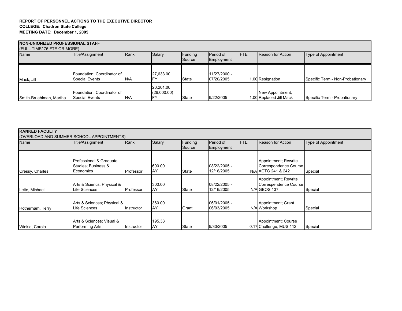#### **REPORT OF PERSONNEL ACTIONS TO THE EXECUTIVE DIRECTOR COLLEGE: Chadron State College MEETING DATE: December 1, 2005**

| NON-UNIONIZED PROFESSIONAL STAFF |                            |      |             |         |              |             |                         |                                  |  |
|----------------------------------|----------------------------|------|-------------|---------|--------------|-------------|-------------------------|----------------------------------|--|
| (FULL TIME/.75 FTE OR MORE)      |                            |      |             |         |              |             |                         |                                  |  |
| Name                             | Title/Assignment           | Rank | Salary      | Funding | Period of    | <b>IFTE</b> | Reason for Action       | Type of Appointment              |  |
|                                  |                            |      |             | Source  | Employment   |             |                         |                                  |  |
|                                  |                            |      |             |         |              |             |                         |                                  |  |
|                                  | Foundation: Coordinator of |      | 27,633.00   |         | 11/27/2000 - |             |                         |                                  |  |
| Mack, Jill                       | <b>Special Events</b>      | N/A  |             | State   | 07/20/2005   |             | 1.00 Resignation        | Specific Term - Non-Probationary |  |
|                                  |                            |      | 20,201.00   |         |              |             |                         |                                  |  |
|                                  | Foundation: Coordinator of |      | (26,000.00) |         |              |             | New Appointment;        |                                  |  |
| Smith-Bruehlman, Martha          | <b>Special Events</b>      | IN/A |             | State   | 9/22/2005    |             | 1.00 Replaced Jill Mack | Specific Term - Probationary     |  |

| Name             | (OVERLOAD AND SUMMER SCHOOL APPOINTMENTS)<br>Title/Assignment | Rank       | Salary       | Funding<br>Source | Period of<br>Employment    | <b>FTE</b> | <b>Reason for Action</b>                                            | Type of Appointment |
|------------------|---------------------------------------------------------------|------------|--------------|-------------------|----------------------------|------------|---------------------------------------------------------------------|---------------------|
| Cressy, Charles  | Professional & Graduate<br>Studies; Business &<br>Economics   | Professor  | 600.00<br>AY | <b>State</b>      | 08/22/2005 -<br>12/16/2005 |            | Appointment; Rewrite<br>Correspondence Course<br>N/A ACTG 241 & 242 | Special             |
| Leite, Michael   | Arts & Sciencs; Physical &<br>Life Sciences                   | Professor  | 300.00<br>AY | <b>State</b>      | 08/22/2005 -<br>12/16/2005 |            | Appointment; Rewrite<br>Correspendence Course<br>N/AIGEOS 137       | Special             |
| Rotherham, Terry | Arts & Sciences; Physical &<br>Life Sciences                  | Instructor | 360.00<br>AY | Grant             | 06/01/2005 -<br>06/03/2005 |            | Appointment; Grant<br>N/A Workshop                                  | Special             |
| Winkle, Carola   | Arts & Sciences: Visual &<br>Performing Arts                  | Instructor | 195.33<br>AY | State             | 9/30/2005                  |            | Appointment: Course<br>0.17 Challenge; MUS 112                      | Special             |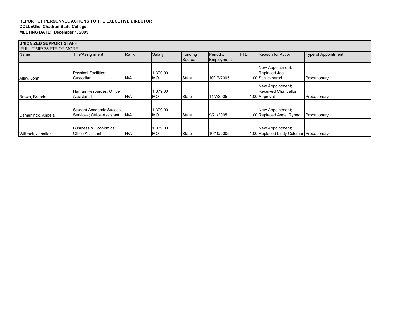#### **REPORT OF PERSONNEL ACTIONS TO THE EXECUTIVE DIRECTOR COLLEGE: Chadron State College MEETING DATE: December 1, 2005**

| <b>IUNIONIZED SUPPORT STAFF</b> |                                                                     |      |                      |                   |                         |            |                                                              |                     |  |
|---------------------------------|---------------------------------------------------------------------|------|----------------------|-------------------|-------------------------|------------|--------------------------------------------------------------|---------------------|--|
| (FULL-TIME/.75 FTE OR MORE)     |                                                                     |      |                      |                   |                         |            |                                                              |                     |  |
| Name                            | Title/Assignment                                                    | Rank | Salary               | Funding<br>Source | Period of<br>Employment | <b>FTE</b> | <b>Reason for Action</b>                                     | Type of Appointment |  |
| Alley, John                     | <b>Physical Facilities;</b><br>Custodian                            | N/A  | ,379.00<br><b>MO</b> | State             | 10/17/2005              |            | New Appointment;<br>Replaced Joe<br>1.00 Schlickbernd        | Probationary        |  |
| Brown, Brenda                   | Human Resources; Office<br>Assistant I                              | N/A  | 379.00<br><b>MO</b>  | State             | 11/7/2005               |            | New Appointment;<br>Received Chancellor<br>1.00 Approval     | Probationary        |  |
| Camerlinck, Angela              | <b>Student Academic Success</b><br>Services: Office Assistant   N/A |      | ,379.00<br>МO        | State             | 9/21/2005               |            | New Appointment;<br>1.00 Replaced Angel Ryono                | Probationary        |  |
| Wittrock, Jennifer              | Business & Economics;<br><b>Office Assistant I</b>                  | N/A  | ,379.00<br><b>MO</b> | State             | 10/10/2005              |            | New Appointment;<br>1.00 Replaced Lindy Coleman Probationary |                     |  |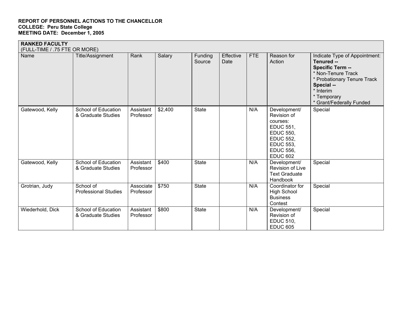| <b>RANKED FACULTY</b><br>(FULL-TIME / .75 FTE OR MORE) |                                           |                        |         |                   |                   |            |                                                                                                                                                                |                                                                                                                                                                                            |
|--------------------------------------------------------|-------------------------------------------|------------------------|---------|-------------------|-------------------|------------|----------------------------------------------------------------------------------------------------------------------------------------------------------------|--------------------------------------------------------------------------------------------------------------------------------------------------------------------------------------------|
| Name                                                   | Title/Assignment                          | Rank                   | Salary  | Funding<br>Source | Effective<br>Date | <b>FTE</b> | Reason for<br>Action                                                                                                                                           | Indicate Type of Appointment:<br>Tenured --<br>Specific Term --<br>* Non-Tenure Track<br>* Probationary Tenure Track<br>Special --<br>* Interim<br>* Temporary<br>* Grant/Federally Funded |
| Gatewood, Kelly                                        | School of Education<br>& Graduate Studies | Assistant<br>Professor | \$2,400 | <b>State</b>      |                   | N/A        | Development/<br>Revision of<br>courses:<br><b>EDUC 551,</b><br><b>EDUC 550.</b><br><b>EDUC 552,</b><br><b>EDUC 553,</b><br><b>EDUC 556,</b><br><b>EDUC 602</b> | Special                                                                                                                                                                                    |
| Gatewood, Kelly                                        | School of Education<br>& Graduate Studies | Assistant<br>Professor | \$400   | State             |                   | N/A        | Development/<br>Revision of Live<br><b>Text Graduate</b><br>Handbook                                                                                           | Special                                                                                                                                                                                    |
| Grotrian, Judy                                         | School of<br><b>Professional Studies</b>  | Associate<br>Professor | \$750   | <b>State</b>      |                   | N/A        | Coordinator for<br><b>High School</b><br><b>Business</b><br>Contest                                                                                            | Special                                                                                                                                                                                    |
| Wiederhold, Dick                                       | School of Education<br>& Graduate Studies | Assistant<br>Professor | \$800   | <b>State</b>      |                   | N/A        | Development/<br>Revision of<br><b>EDUC 510,</b><br><b>EDUC 605</b>                                                                                             | Special                                                                                                                                                                                    |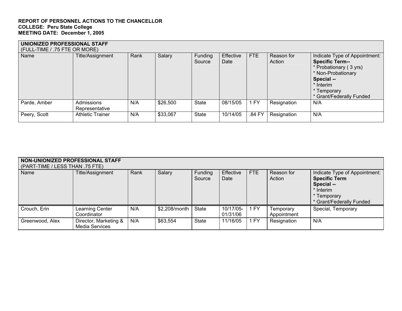| UNIONIZED PROFESSIONAL STAFF<br>(FULL-TIME / .75 FTE OR MORE) |                              |      |          |                   |                   |            |                      |                                                                                                                                                                               |  |  |
|---------------------------------------------------------------|------------------------------|------|----------|-------------------|-------------------|------------|----------------------|-------------------------------------------------------------------------------------------------------------------------------------------------------------------------------|--|--|
| Name                                                          | Title/Assignment             | Rank | Salary   | Funding<br>Source | Effective<br>Date | <b>FTE</b> | Reason for<br>Action | Indicate Type of Appointment:<br><b>Specific Term--</b><br>* Probationary (3 yrs)<br>* Non-Probationary<br>Special --<br>* Interim<br>* Temporary<br>* Grant/Federally Funded |  |  |
| Parde, Amber                                                  | Admissions<br>Representative | N/A  | \$26,500 | State             | 08/15/05          | <b>FY</b>  | Resignation          | N/A                                                                                                                                                                           |  |  |
| Peery, Scott                                                  | <b>Athletic Trainer</b>      | N/A  | \$33,067 | <b>State</b>      | 10/14/05          | .84 FY     | Resignation          | N/A                                                                                                                                                                           |  |  |

| NON-UNIONIZED PROFESSIONAL STAFF<br>(PART-TIME / LESS THAN .75 FTE) |                                         |      |               |                   |                       |            |                          |                                                                                                                             |  |  |
|---------------------------------------------------------------------|-----------------------------------------|------|---------------|-------------------|-----------------------|------------|--------------------------|-----------------------------------------------------------------------------------------------------------------------------|--|--|
| Name                                                                | Title/Assignment                        | Rank | Salary        | Funding<br>Source | Effective<br>Date     | <b>FTE</b> | Reason for<br>Action     | Indicate Type of Appointment:<br><b>Specific Term</b><br>Special --<br>* Interim<br>* Temporary<br>* Grant/Federally Funded |  |  |
| Crouch, Erin                                                        | Learning Center<br>Coordinator          | N/A  | \$2,208/month | <b>State</b>      | 10/17/05-<br>01/31/06 | 1 FY       | Temporary<br>Appointment | Special, Temporary                                                                                                          |  |  |
| Greenwood, Alex                                                     | Director, Marketing &<br>Media Services | N/A  | \$63,554      | <b>State</b>      | 11/16/05              | 1 FY       | Resignation              | N/A                                                                                                                         |  |  |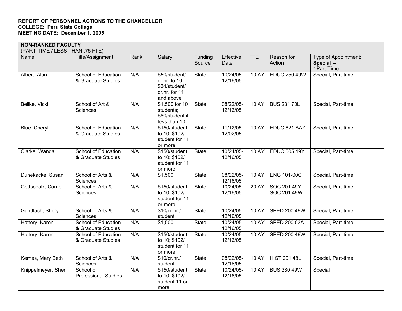| <b>NON-RANKED FACULTY</b><br>(PART-TIME / LESS THAN .75 FTE) |                                                  |      |                                                                               |                   |                       |            |                             |                                                   |
|--------------------------------------------------------------|--------------------------------------------------|------|-------------------------------------------------------------------------------|-------------------|-----------------------|------------|-----------------------------|---------------------------------------------------|
| Name                                                         | Title/Assignment                                 | Rank | Salary                                                                        | Funding<br>Source | Effective<br>Date     | <b>FTE</b> | Reason for<br>Action        | Type of Appointment:<br>Special --<br>* Part-Time |
| Albert, Alan                                                 | <b>School of Education</b><br>& Graduate Studies | N/A  | \$50/student/<br>cr.hr. to 10;<br>\$34/student/<br>cr.hr. for 11<br>and above | <b>State</b>      | 10/24/05-<br>12/16/05 | .10 AY     | <b>EDUC 250 49W</b>         | Special, Part-time                                |
| Beilke, Vicki                                                | School of Art &<br>Sciences                      | N/A  | \$1,500 for 10<br>students;<br>\$80/student if<br>less than 10                | <b>State</b>      | 08/22/05-<br>12/16/05 | .10 AY     | <b>BUS 231 70L</b>          | Special, Part-time                                |
| Blue, Cheryl                                                 | <b>School of Education</b><br>& Graduate Studies | N/A  | \$150/student<br>to 10; \$102/<br>student for 11<br>or more                   | <b>State</b>      | 11/12/05-<br>12/02/05 | .10 AY     | EDUC 621 AAZ                | Special, Part-time                                |
| Clarke, Wanda                                                | <b>School of Education</b><br>& Graduate Studies | N/A  | \$150/student<br>to 10; \$102/<br>student for 11<br>or more                   | <b>State</b>      | 10/24/05-<br>12/16/05 | .10 AY     | <b>EDUC 605 49Y</b>         | Special, Part-time                                |
| Dunekacke, Susan                                             | School of Arts &<br>Sciences                     | N/A  | \$1,500                                                                       | <b>State</b>      | 08/22/05-<br>12/16/05 | .10 AY     | <b>ENG 101-00C</b>          | Special, Part-time                                |
| Gottschalk, Carrie                                           | School of Arts &<br>Sciences                     | N/A  | \$150/student<br>to 10; \$102/<br>student for 11<br>or more                   | <b>State</b>      | 10/24/05-<br>12/16/05 | .20 AY     | SOC 201 49Y,<br>SOC 201 49W | Special, Part-time                                |
| Gundlach, Sheryl                                             | School of Arts &<br>Sciences                     | N/A  | \$10/cr/hr.<br>student                                                        | <b>State</b>      | 10/24/05-<br>12/16/05 | .10 AY     | <b>SPED 200 49W</b>         | Special, Part-time                                |
| Hattery, Karen                                               | School of Education<br>& Graduate Studies        | N/A  | \$1,500                                                                       | <b>State</b>      | 10/24/05-<br>12/16/05 | .10 AY     | SPED 200 03A                | Special, Part-time                                |
| Hattery, Karen                                               | School of Education<br>& Graduate Studies        | N/A  | \$150/student<br>to 10; \$102/<br>student for 11<br>or more                   | <b>State</b>      | 10/24/05-<br>12/16/05 | .10 AY     | <b>SPED 200 49W</b>         | Special, Part-time                                |
| Kernes, Mary Beth                                            | School of Arts &<br>Sciences                     | N/A  | \$10/cr/hr.<br>student                                                        | <b>State</b>      | 08/22/05-<br>12/16/05 | .10 AY     | <b>HIST 201 48L</b>         | Special, Part-time                                |
| Knippelmeyer, Sheri                                          | School of<br><b>Professional Studies</b>         | N/A  | \$150/student<br>to 10, \$102/<br>student 11 or<br>more                       | <b>State</b>      | 10/24/05-<br>12/16/05 | .10 AY     | <b>BUS 380 49W</b>          | Special                                           |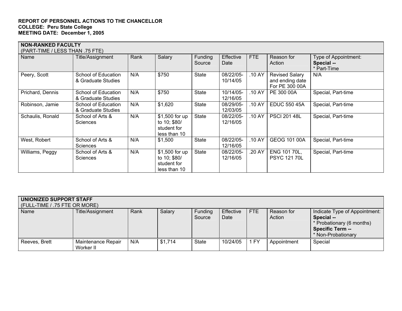| <b>NON-RANKED FACULTY</b><br>(PART-TIME / LESS THAN .75 FTE) |                                           |      |                                                               |                          |                       |            |                                                            |                                                   |  |
|--------------------------------------------------------------|-------------------------------------------|------|---------------------------------------------------------------|--------------------------|-----------------------|------------|------------------------------------------------------------|---------------------------------------------------|--|
| Name                                                         | Title/Assignment                          | Rank | Salary                                                        | <b>Funding</b><br>Source | Effective<br>Date     | <b>FTE</b> | Reason for<br>Action                                       | Type of Appointment:<br>Special --<br>* Part-Time |  |
| Peery, Scott                                                 | School of Education<br>& Graduate Studies | N/A  | \$750                                                         | <b>State</b>             | 08/22/05-<br>10/14/05 | .10 AY     | <b>Revised Salary</b><br>and ending date<br>For PE 300 00A | N/A                                               |  |
| Prichard, Dennis                                             | School of Education<br>& Graduate Studies | N/A  | \$750                                                         | <b>State</b>             | 10/14/05-<br>12/16/05 | .10 AY     | PE 300 00A                                                 | Special, Part-time                                |  |
| Robinson, Jamie                                              | School of Education<br>& Graduate Studies | N/A  | \$1,620                                                       | <b>State</b>             | 08/29/05-<br>12/03/05 | .10 AY     | <b>EDUC 550 45A</b>                                        | Special, Part-time                                |  |
| Schaulis, Ronald                                             | School of Arts &<br>Sciences              | N/A  | \$1,500 for up<br>to 10; \$80/<br>student for<br>less than 10 | <b>State</b>             | 08/22/05-<br>12/16/05 | .10 AY     | <b>PSCI 201 48L</b>                                        | Special, Part-time                                |  |
| West, Robert                                                 | School of Arts &<br><b>Sciences</b>       | N/A  | \$1,500                                                       | <b>State</b>             | 08/22/05-<br>12/16/05 | .10 AY     | GEOG 101 00A                                               | Special, Part-time                                |  |
| Williams, Peggy                                              | School of Arts &<br>Sciences              | N/A  | \$1,500 for up<br>to 10; \$80/<br>student for<br>less than 10 | <b>State</b>             | 08/22/05-<br>12/16/05 | .20 AY     | ENG 101 70L,<br><b>PSYC 121 70L</b>                        | Special, Part-time                                |  |

| UNIONIZED SUPPORT STAFF<br>(FULL-TIME / .75 FTE OR MORE) |                                 |      |         |                   |                   |            |                      |                                                                                                                           |  |
|----------------------------------------------------------|---------------------------------|------|---------|-------------------|-------------------|------------|----------------------|---------------------------------------------------------------------------------------------------------------------------|--|
| Name                                                     | Title/Assignment                | Rank | Salary  | Funding<br>Source | Effective<br>Date | <b>FTE</b> | Reason for<br>Action | Indicate Type of Appointment:<br>Special --<br>* Probationary (6 months)<br><b>Specific Term --</b><br>* Non-Probationary |  |
| Reeves, Brett                                            | Maintenance Repair<br>Worker II | N/A  | \$1,714 | <b>State</b>      | 10/24/05          | 1 FY       | Appointment          | Special                                                                                                                   |  |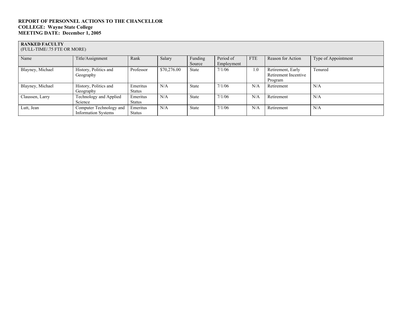#### **RANKED FACULTY**

(FULL-TIME/.75 FTE OR MORE)

| Name             | Title/Assignment           | Rank          | Salary      | Funding      | Period of  | <b>FTE</b> | Reason for Action    | Type of Appointment |
|------------------|----------------------------|---------------|-------------|--------------|------------|------------|----------------------|---------------------|
|                  |                            |               |             | Source       | Employment |            |                      |                     |
| Blayney, Michael | History, Politics and      | Professor     | \$70,276.00 | State        | 7/1/06     | 1.0        | Retirement, Early    | Tenured             |
|                  | Geography                  |               |             |              |            |            | Retirement Incentive |                     |
|                  |                            |               |             |              |            |            | Program              |                     |
| Blayney, Michael | History, Politics and      | Emeritus      | N/A         | <b>State</b> | 7/1/06     | N/A        | Retirement           | N/A                 |
|                  | Geography                  | <b>Status</b> |             |              |            |            |                      |                     |
| Claussen, Larry  | Technology and Applied     | Emeritus      | N/A         | <b>State</b> | 7/1/06     | N/A        | Retirement           | N/A                 |
|                  | Science                    | <b>Status</b> |             |              |            |            |                      |                     |
| Lutt, Jean       | Computer Technology and    | Emeritus      | N/A         | <b>State</b> | 7/1/06     | N/A        | Retirement           | N/A                 |
|                  | <b>Information Systems</b> | <b>Status</b> |             |              |            |            |                      |                     |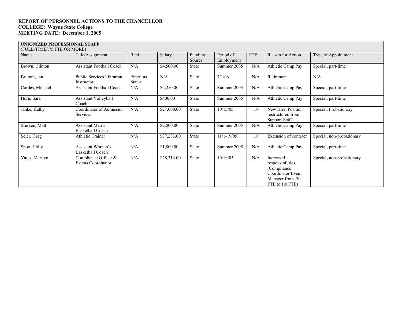#### **UNIONIZED PROFESSIONAL STAFF**

| (FULL-TIME/.75 FTE OR MORE) |                                                   |                           |             |                   |                         |            |                                                                                                           |                           |
|-----------------------------|---------------------------------------------------|---------------------------|-------------|-------------------|-------------------------|------------|-----------------------------------------------------------------------------------------------------------|---------------------------|
| Name                        | Title/Assignment                                  | Rank                      | Salary      | Funding<br>Source | Period of<br>Employment | <b>FTE</b> | Reason for Action                                                                                         | Type of Appointment       |
| Brown, Clinton              | <b>Assistant Football Coach</b>                   | N/A                       | \$4,500.00  | State             | Summer 2005             | N/A        | Athletic Camp Pay                                                                                         | Special, part-time        |
| Brumm, Jan                  | Public Services Librarian,<br>Instructor          | Emeritus<br><b>Status</b> | N/A         | <b>State</b>      | 7/1/06                  | N/A        | Retirement                                                                                                | N/A                       |
| Cordes, Michael             | <b>Assistant Football Coach</b>                   | N/A                       | \$2,250.00  | State             | Summer 2005             | N/A        | Athletic Camp Pay                                                                                         | Special, part-time        |
| Horn, Sara                  | Assistant Volleyball<br>Coach                     | N/A                       | \$400.00    | State             | Summer 2005             | $\rm N/A$  | Athletic Camp Pay                                                                                         | Special, part-time        |
| Janke, Kathy                | Coordinator of Admission<br>Services              | N/A                       | \$27,000.00 | State             | 10/13/05                | 1.0        | New Hire, Position<br>restructured from<br>Support Staff                                                  | Special, Probationary     |
| Murken, Matt                | Assistant Men's<br><b>Basketball Coach</b>        | N/A                       | \$2,000.00  | State             | Summer 2005             | $\rm N/A$  | Athletic Camp Pay                                                                                         | Special, part-time        |
| Seier, Greg                 | <b>Athletic Trainer</b>                           | N/A                       | \$37,283.00 | State             | $11/1 - 19/05$          | 1.0        | Extension of contract                                                                                     | Special, non-probationary |
| Spoo, Holly                 | Assistant Women's<br><b>Basketball Coach</b>      | N/A                       | \$1,800.00  | State             | Summer 2005             | N/A        | Athletic Camp Pay                                                                                         | Special, part-time        |
| Yates, Marilyn              | Compliance Officer &<br><b>Events Coordinator</b> | N/A                       | \$28,314.00 | State             | 10/10/05                | N/A        | Increased<br>responsibilities<br>(Compliance)<br>Coordinator/Event<br>Manager from .70<br>FTE to 1.0 FTE) | Special, non-probationary |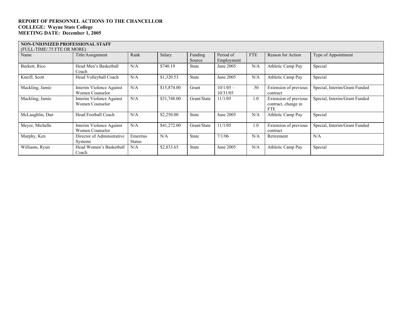### **NON-UNIONIZED PROFESSIONAL STAFF**

| (FULL-TIME/.75 FTE OR MORE) |                                              |                           |             |                   |                         |            |                                                            |                               |
|-----------------------------|----------------------------------------------|---------------------------|-------------|-------------------|-------------------------|------------|------------------------------------------------------------|-------------------------------|
| Name                        | Title/Assignment                             | Rank                      | Salary      | Funding<br>Source | Period of<br>Employment | <b>FTE</b> | Reason for Action                                          | Type of Appointment           |
| Burkett, Rico               | Head Men's Basketball<br>Coach               | N/A                       | \$740.19    | <b>State</b>      | June 2005               | N/A        | Athletic Camp Pay                                          | Special                       |
| Kneifl, Scott               | Head Volleyball Coach                        | N/A                       | \$1,320.53  | <b>State</b>      | June 2005               | N/A        | Athletic Camp Pay                                          | Special                       |
| Mackling, Jamie             | Interim Violence Against<br>Women Counselor  | N/A                       | \$15,874.00 | Grant             | $10/1/05 -$<br>10/31/05 | .50        | Extension of previous<br>contract                          | Special, Interim/Grant Funded |
| Mackling, Jamie             | Interim Violence Against<br>Women Counselor  | N/A                       | \$31,748.00 | Grant/State       | 11/1/05                 | 1.0        | Extension of previous<br>contract, change in<br><b>FTE</b> | Special, Interim/Grant Funded |
| McLaughlin, Dan             | Head Football Coach                          | N/A                       | \$2,250.00  | <b>State</b>      | June 2005               | N/A        | Athletic Camp Pay                                          | Special                       |
| Meyer, Michelle             | Interim Violence Against<br>Women Counselor  | N/A                       | \$41,272.00 | Grant/State       | 11/1/05                 | 1.0        | Extension of previous<br>contract                          | Special, Interim/Grant Funded |
| Murphy, Ken                 | Director of Administrative<br><b>Systems</b> | Emeritus<br><b>Status</b> | N/A         | <b>State</b>      | 7/1/06                  | N/A        | Retirement                                                 | N/A                           |
| Williams, Ryun              | Head Women's Basketball<br>Coach             | N/A                       | \$2,833.65  | State             | June 2005               | N/A        | Athletic Camp Pay                                          | Special                       |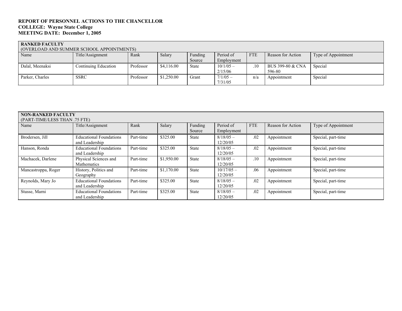**RANKED FACULTY**  (OVERLOAD AND SUMMER SCHOOL APPOINTMENTS)

| TO VERLOAD AIND SOIVINIER SCHOOL ALT OIN HYLENTS! |                      |           |            |         |             |            |                   |                     |  |  |
|---------------------------------------------------|----------------------|-----------|------------|---------|-------------|------------|-------------------|---------------------|--|--|
| Name                                              | Title/Assignment     | Rank      | Salary     | Funding | Period of   | <b>FTE</b> | Reason for Action | Type of Appointment |  |  |
|                                                   |                      |           |            | Source  | Employment  |            |                   |                     |  |  |
| Dalal, Meenaksi                                   | Continuing Education | Professor | \$4,116,00 | State   | $10/1/05 -$ | .10        | BUS 399-80 & CNA  | Special             |  |  |
|                                                   |                      |           |            |         | 2/15/06     |            | 596-80            |                     |  |  |
| Parker, Charles                                   | <b>SSRC</b>          | Professor | \$1,250.00 | Grant   | $7/1/05 -$  | n/a        | Appointment       | Special             |  |  |
|                                                   |                      |           |            |         | 7/31/05     |            |                   |                     |  |  |

| <b>NON-RANKED FACULTY</b>     |                                |           |            |              |              |            |                   |                     |
|-------------------------------|--------------------------------|-----------|------------|--------------|--------------|------------|-------------------|---------------------|
| (PART-TIME/LESS THAN .75 FTE) |                                |           |            |              |              |            |                   |                     |
| Name                          | Title/Assignment               | Rank      | Salary     | Funding      | Period of    | <b>FTE</b> | Reason for Action | Type of Appointment |
|                               |                                |           |            | Source       | Employment   |            |                   |                     |
| Brodersen, Jill               | <b>Educational Foundations</b> | Part-time | \$325.00   | <b>State</b> | $8/18/05$ –  | .02        | Appointment       | Special, part-time  |
|                               | and Leadership                 |           |            |              | 12/20/05     |            |                   |                     |
| Hanson, Ronda                 | <b>Educational Foundations</b> | Part-time | \$325.00   | <b>State</b> | $8/18/05$ –  | .02        | Appointment       | Special, part-time  |
|                               | and Leadership                 |           |            |              | 12/20/05     |            |                   |                     |
| Machacek, Darlene             | Physical Sciences and          | Part-time | \$1,950.00 | <b>State</b> | $8/18/05$ –  | .10        | Appointment       | Special, part-time  |
|                               | Mathematics                    |           |            |              | 12/20/05     |            |                   |                     |
| Mancastroppa, Roger           | History, Politics and          | Part-time | \$1,170.00 | <b>State</b> | $10/17/05 -$ | .06        | Appointment       | Special, part-time  |
|                               | Geography                      |           |            |              | 12/20/05     |            |                   |                     |
| Reynolds, Mary Jo             | <b>Educational Foundations</b> | Part-time | \$325.00   | <b>State</b> | $8/18/05$ –  | .02        | Appointment       | Special, part-time  |
|                               | and Leadership                 |           |            |              | 12/20/05     |            |                   |                     |
| Stusse, Marni                 | <b>Educational Foundations</b> | Part-time | \$325.00   | <b>State</b> | $8/18/05$ –  | .02        | Appointment       | Special, part-time  |
|                               | and Leadership                 |           |            |              | 12/20/05     |            |                   |                     |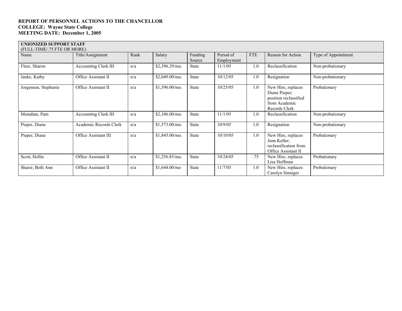#### **UNIONIZED SUPPORT STAFF**

| (FULL-TIME/.75 FTE OR MORE) |                             |      |                  |                   |                         |            |                                                                                                |                     |
|-----------------------------|-----------------------------|------|------------------|-------------------|-------------------------|------------|------------------------------------------------------------------------------------------------|---------------------|
| Name                        | Title/Assignment            | Rank | Salary           | Funding<br>Source | Period of<br>Employment | <b>FTE</b> | Reason for Action                                                                              | Type of Appointment |
| Fleer, Sharon               | <b>Accounting Clerk III</b> | n/a  | \$2,396.29/mo.   | State             | 11/1/05                 | 1.0        | Reclassification                                                                               | Non-probationary    |
| Janke, Kathy                | Office Assistant II         | n/a  | \$2,049.00/mo.   | State             | 10/12/05                | 1.0        | Resignation                                                                                    | Non-probationary    |
| Jorgensen, Stephanie        | Office Assistant II         | n/a  | $$1,596.00/m$ o. | <b>State</b>      | 10/25/05                | 1.0        | New Hire, replaces<br>Diane Pieper;<br>position reclassified<br>from Academic<br>Records Clerk | Probationary        |
| Monahan, Pam                | <b>Accounting Clerk III</b> | n/a  | \$2,106.00/mo.   | State             | 11/1/05                 | 1.0        | Reclassification                                                                               | Non-probationary    |
| Pieper, Diane               | Academic Records Clerk      | n/a  | \$1,573.00/mo.   | State             | 10/9/05                 | 1.0        | Resignation                                                                                    | Non-probationary    |
| Pieper, Diane               | Office Assistant III        | n/a  | $$1,845.00/m$ o. | State             | 10/10/05                | 1.0        | New Hire, replaces<br>Jenn Keller;<br>reclassification from<br>Office Assistant II             | Probationary        |
| Scott, Hollie               | Office Assistant II         | n/a  | \$1,256.85/mo.   | State             | 10/24/05                | .75        | New Hire, replaces<br>Lisa Hoffman                                                             | Probationary        |
| Sharer, Beth Ann            | Office Assistant II         | n/a  | \$1,644.00/m0    | State             | 11/7/05                 | 1.0        | New Hire, replaces<br>Carolyn Sinniger                                                         | Probationary        |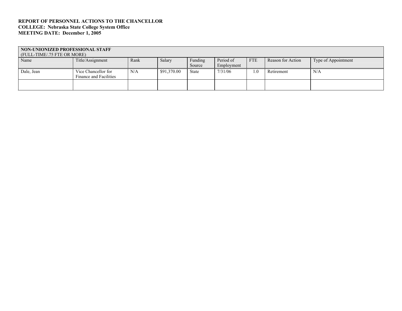#### **REPORT OF PERSONNEL ACTIONS TO THE CHANCELLOR COLLEGE: Nebraska State College System Office MEETING DATE: December 1, 2005**

| NON-UNIONIZED PROFESSIONAL STAFF<br>(FULL-TIME/.75 FTE OR MORE) |                        |      |             |         |            |            |                   |                     |  |  |
|-----------------------------------------------------------------|------------------------|------|-------------|---------|------------|------------|-------------------|---------------------|--|--|
| Name                                                            | Title/Assignment       | Rank | Salary      | Funding | Period of  | <b>FTE</b> | Reason for Action | Type of Appointment |  |  |
|                                                                 |                        |      |             | Source  | Employment |            |                   |                     |  |  |
| Dale, Jean                                                      | Vice Chancellor for    | N/A  | \$91,370.00 | State   | 7/31/06    | .0         | Retirement        | N/A                 |  |  |
|                                                                 | Finance and Facilities |      |             |         |            |            |                   |                     |  |  |
|                                                                 |                        |      |             |         |            |            |                   |                     |  |  |
|                                                                 |                        |      |             |         |            |            |                   |                     |  |  |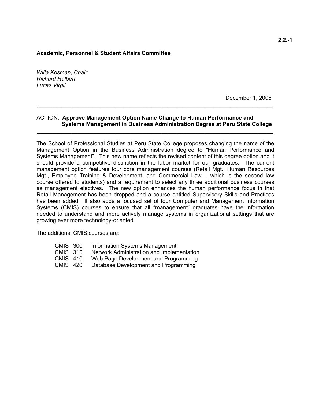### **Academic, Personnel & Student Affairs Committee**

*Willa Kosman, Chair Richard Halbert Lucas Virgil* 

December 1, 2005

### ACTION: **Approve Management Option Name Change to Human Performance and Systems Management in Business Administration Degree at Peru State College**

**\_\_\_\_\_\_\_\_\_\_\_\_\_\_\_\_\_\_\_\_\_\_\_\_\_\_\_\_\_\_\_\_\_\_\_\_\_\_\_\_\_\_\_\_\_\_\_\_\_\_\_\_\_\_\_\_\_\_\_\_\_\_\_\_\_\_\_\_\_\_\_\_\_\_\_\_** 

**\_\_\_\_\_\_\_\_\_\_\_\_\_\_\_\_\_\_\_\_\_\_\_\_\_\_\_\_\_\_\_\_\_\_\_\_\_\_\_\_\_\_\_\_\_\_\_\_\_\_\_\_\_\_\_\_\_\_\_\_\_\_\_\_\_\_\_\_\_\_\_\_\_\_\_\_** 

The School of Professional Studies at Peru State College proposes changing the name of the Management Option in the Business Administration degree to "Human Performance and Systems Management". This new name reflects the revised content of this degree option and it should provide a competitive distinction in the labor market for our graduates. The current management option features four core management courses (Retail Mgt., Human Resources Mgt., Employee Training & Development, and Commercial Law – which is the second law course offered to students) and a requirement to select any three additional business courses as management electives. The new option enhances the human performance focus in that Retail Management has been dropped and a course entitled Supervisory Skills and Practices has been added. It also adds a focused set of four Computer and Management Information Systems (CMIS) courses to ensure that all "management" graduates have the information needed to understand and more actively manage systems in organizational settings that are growing ever more technology-oriented.

The additional CMIS courses are:

- CMIS 300 Information Systems Management
- CMIS 310 Network Administration and Implementation
- CMIS 410 Web Page Development and Programming
- CMIS 420 Database Development and Programming